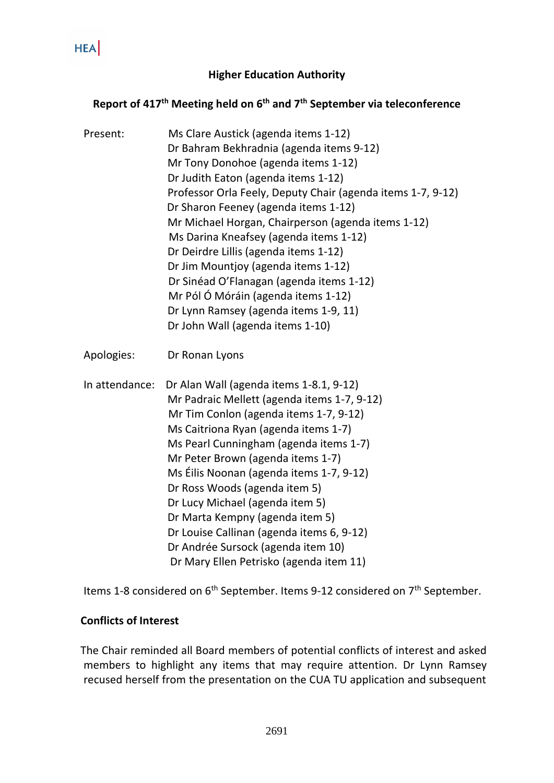#### **Higher Education Authority**

## **Report of 417 th Meeting held on 6 th and 7th September via teleconference**

| Present:       | Ms Clare Austick (agenda items 1-12)<br>Dr Bahram Bekhradnia (agenda items 9-12)<br>Mr Tony Donohoe (agenda items 1-12)<br>Dr Judith Eaton (agenda items 1-12)<br>Professor Orla Feely, Deputy Chair (agenda items 1-7, 9-12)<br>Dr Sharon Feeney (agenda items 1-12)<br>Mr Michael Horgan, Chairperson (agenda items 1-12)<br>Ms Darina Kneafsey (agenda items 1-12)<br>Dr Deirdre Lillis (agenda items 1-12)<br>Dr Jim Mountjoy (agenda items 1-12)<br>Dr Sinéad O'Flanagan (agenda items 1-12)<br>Mr Pól Ó Móráin (agenda items 1-12)<br>Dr Lynn Ramsey (agenda items 1-9, 11)<br>Dr John Wall (agenda items 1-10) |
|----------------|-----------------------------------------------------------------------------------------------------------------------------------------------------------------------------------------------------------------------------------------------------------------------------------------------------------------------------------------------------------------------------------------------------------------------------------------------------------------------------------------------------------------------------------------------------------------------------------------------------------------------|
| Apologies:     | Dr Ronan Lyons                                                                                                                                                                                                                                                                                                                                                                                                                                                                                                                                                                                                        |
| In attendance: | Dr Alan Wall (agenda items 1-8.1, 9-12)<br>Mr Padraic Mellett (agenda items 1-7, 9-12)<br>Mr Tim Conlon (agenda items 1-7, 9-12)<br>Ms Caitriona Ryan (agenda items 1-7)<br>Ms Pearl Cunningham (agenda items 1-7)<br>Mr Peter Brown (agenda items 1-7)<br>Ms Éilis Noonan (agenda items 1-7, 9-12)<br>Dr Ross Woods (agenda item 5)<br>Dr Lucy Michael (agenda item 5)<br>Dr Marta Kempny (agenda item 5)<br>Dr Louise Callinan (agenda items 6, 9-12)<br>Dr Andrée Sursock (agenda item 10)<br>Dr Mary Ellen Petrisko (agenda item 11)                                                                              |

Items 1-8 considered on 6<sup>th</sup> September. Items 9-12 considered on 7<sup>th</sup> September.

#### **Conflicts of Interest**

 The Chair reminded all Board members of potential conflicts of interest and asked members to highlight any items that may require attention. Dr Lynn Ramsey recused herself from the presentation on the CUA TU application and subsequent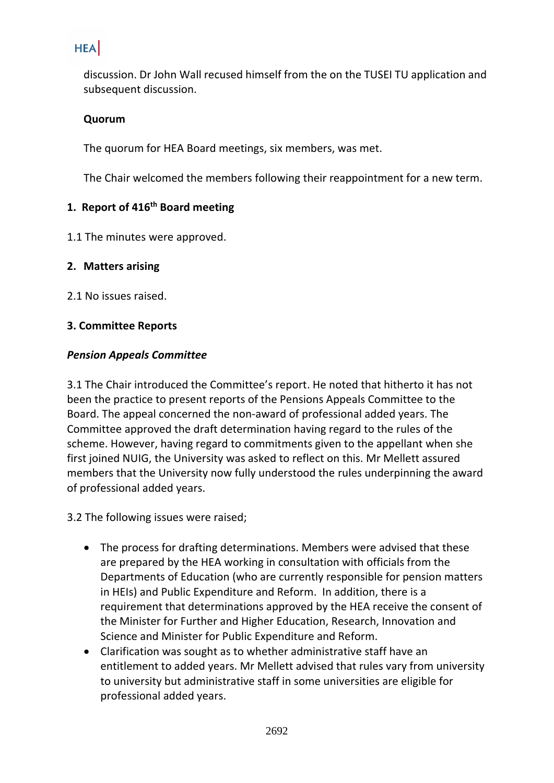discussion. Dr John Wall recused himself from the on the TUSEI TU application and subsequent discussion.

#### **Quorum**

The quorum for HEA Board meetings, six members, was met.

The Chair welcomed the members following their reappointment for a new term.

## **1. Report of 416 th Board meeting**

1.1 The minutes were approved.

### **2. Matters arising**

2.1 No issues raised.

### **3. Committee Reports**

#### *Pension Appeals Committee*

3.1 The Chair introduced the Committee's report. He noted that hitherto it has not been the practice to present reports of the Pensions Appeals Committee to the Board. The appeal concerned the non-award of professional added years. The Committee approved the draft determination having regard to the rules of the scheme. However, having regard to commitments given to the appellant when she first joined NUIG, the University was asked to reflect on this. Mr Mellett assured members that the University now fully understood the rules underpinning the award of professional added years.

3.2 The following issues were raised;

- The process for drafting determinations. Members were advised that these are prepared by the HEA working in consultation with officials from the Departments of Education (who are currently responsible for pension matters in HEIs) and Public Expenditure and Reform. In addition, there is a requirement that determinations approved by the HEA receive the consent of the Minister for Further and Higher Education, Research, Innovation and Science and Minister for Public Expenditure and Reform.
- Clarification was sought as to whether administrative staff have an entitlement to added years. Mr Mellett advised that rules vary from university to university but administrative staff in some universities are eligible for professional added years.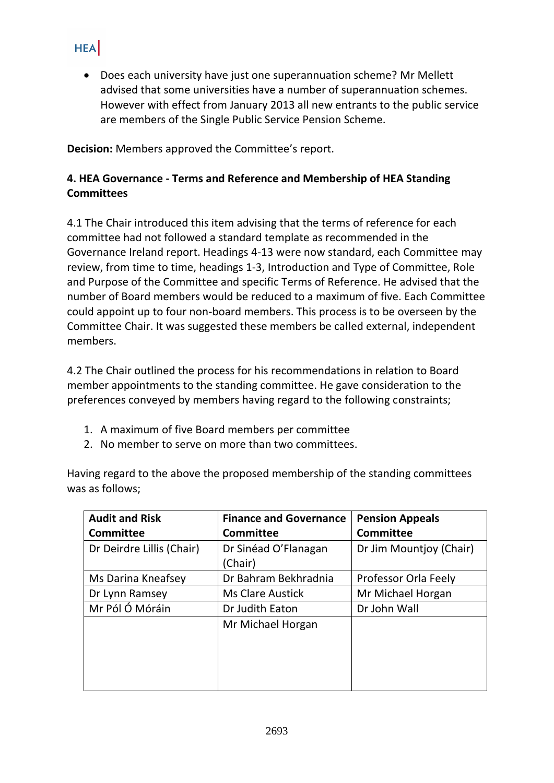• Does each university have just one superannuation scheme? Mr Mellett advised that some universities have a number of superannuation schemes. However with effect from January 2013 all new entrants to the public service are members of the Single Public Service Pension Scheme.

**Decision:** Members approved the Committee's report.

## **4. HEA Governance - Terms and Reference and Membership of HEA Standing Committees**

4.1 The Chair introduced this item advising that the terms of reference for each committee had not followed a standard template as recommended in the Governance Ireland report. Headings 4-13 were now standard, each Committee may review, from time to time, headings 1-3, Introduction and Type of Committee, Role and Purpose of the Committee and specific Terms of Reference. He advised that the number of Board members would be reduced to a maximum of five. Each Committee could appoint up to four non-board members. This process is to be overseen by the Committee Chair. It was suggested these members be called external, independent members.

4.2 The Chair outlined the process for his recommendations in relation to Board member appointments to the standing committee. He gave consideration to the preferences conveyed by members having regard to the following constraints;

- 1. A maximum of five Board members per committee
- 2. No member to serve on more than two committees.

Having regard to the above the proposed membership of the standing committees was as follows;

| <b>Audit and Risk</b>     | <b>Finance and Governance</b>   | <b>Pension Appeals</b>  |
|---------------------------|---------------------------------|-------------------------|
| <b>Committee</b>          | <b>Committee</b>                | <b>Committee</b>        |
| Dr Deirdre Lillis (Chair) | Dr Sinéad O'Flanagan<br>(Chair) | Dr Jim Mountjoy (Chair) |
| Ms Darina Kneafsey        | Dr Bahram Bekhradnia            | Professor Orla Feely    |
| Dr Lynn Ramsey            | <b>Ms Clare Austick</b>         | Mr Michael Horgan       |
| Mr Pól Ó Móráin           | Dr Judith Eaton                 | Dr John Wall            |
|                           | Mr Michael Horgan               |                         |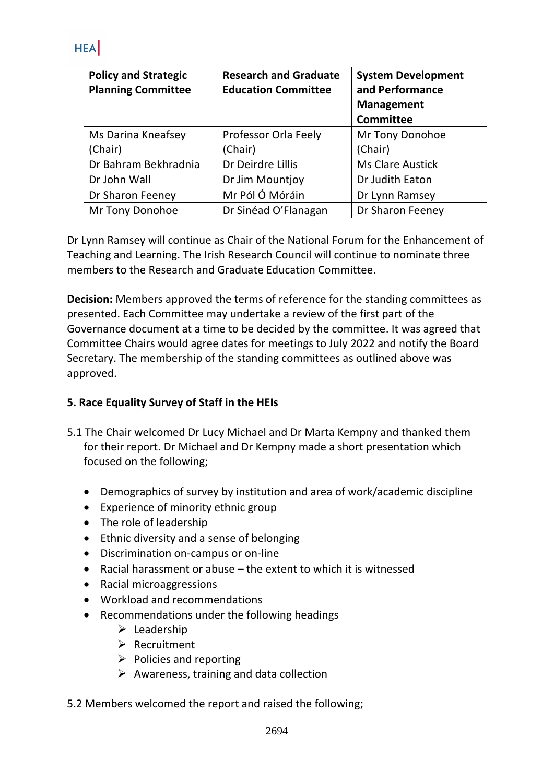| <b>Policy and Strategic</b><br><b>Planning Committee</b> | <b>Research and Graduate</b><br><b>Education Committee</b> | <b>System Development</b><br>and Performance<br><b>Management</b><br><b>Committee</b> |
|----------------------------------------------------------|------------------------------------------------------------|---------------------------------------------------------------------------------------|
| Ms Darina Kneafsey                                       | Professor Orla Feely                                       | Mr Tony Donohoe                                                                       |
| (Chair)                                                  | (Chair)                                                    | (Chair)                                                                               |
| Dr Bahram Bekhradnia                                     | Dr Deirdre Lillis                                          | <b>Ms Clare Austick</b>                                                               |
| Dr John Wall                                             | Dr Jim Mountjoy                                            | Dr Judith Eaton                                                                       |
| Dr Sharon Feeney                                         | Mr Pól Ó Móráin                                            | Dr Lynn Ramsey                                                                        |
| Mr Tony Donohoe                                          | Dr Sinéad O'Flanagan                                       | Dr Sharon Feeney                                                                      |

Dr Lynn Ramsey will continue as Chair of the National Forum for the Enhancement of Teaching and Learning. The Irish Research Council will continue to nominate three members to the Research and Graduate Education Committee.

**Decision:** Members approved the terms of reference for the standing committees as presented. Each Committee may undertake a review of the first part of the Governance document at a time to be decided by the committee. It was agreed that Committee Chairs would agree dates for meetings to July 2022 and notify the Board Secretary. The membership of the standing committees as outlined above was approved.

## **5. Race Equality Survey of Staff in the HEIs**

- 5.1 The Chair welcomed Dr Lucy Michael and Dr Marta Kempny and thanked them for their report. Dr Michael and Dr Kempny made a short presentation which focused on the following;
	- Demographics of survey by institution and area of work/academic discipline
	- Experience of minority ethnic group
	- The role of leadership
	- Ethnic diversity and a sense of belonging
	- Discrimination on-campus or on-line
	- Racial harassment or abuse the extent to which it is witnessed
	- Racial microaggressions
	- Workload and recommendations
	- Recommendations under the following headings
		- ➢ Leadership
		- ➢ Recruitment
		- $\triangleright$  Policies and reporting
		- $\triangleright$  Awareness, training and data collection
- 5.2 Members welcomed the report and raised the following;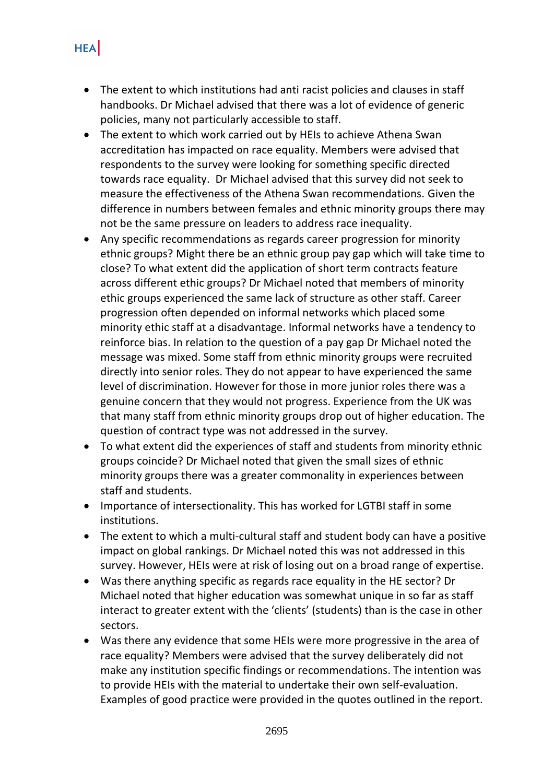- The extent to which institutions had anti racist policies and clauses in staff handbooks. Dr Michael advised that there was a lot of evidence of generic policies, many not particularly accessible to staff.
- The extent to which work carried out by HEIs to achieve Athena Swan accreditation has impacted on race equality. Members were advised that respondents to the survey were looking for something specific directed towards race equality. Dr Michael advised that this survey did not seek to measure the effectiveness of the Athena Swan recommendations. Given the difference in numbers between females and ethnic minority groups there may not be the same pressure on leaders to address race inequality.
- Any specific recommendations as regards career progression for minority ethnic groups? Might there be an ethnic group pay gap which will take time to close? To what extent did the application of short term contracts feature across different ethic groups? Dr Michael noted that members of minority ethic groups experienced the same lack of structure as other staff. Career progression often depended on informal networks which placed some minority ethic staff at a disadvantage. Informal networks have a tendency to reinforce bias. In relation to the question of a pay gap Dr Michael noted the message was mixed. Some staff from ethnic minority groups were recruited directly into senior roles. They do not appear to have experienced the same level of discrimination. However for those in more junior roles there was a genuine concern that they would not progress. Experience from the UK was that many staff from ethnic minority groups drop out of higher education. The question of contract type was not addressed in the survey.
- To what extent did the experiences of staff and students from minority ethnic groups coincide? Dr Michael noted that given the small sizes of ethnic minority groups there was a greater commonality in experiences between staff and students.
- Importance of intersectionality. This has worked for LGTBI staff in some institutions.
- The extent to which a multi-cultural staff and student body can have a positive impact on global rankings. Dr Michael noted this was not addressed in this survey. However, HEIs were at risk of losing out on a broad range of expertise.
- Was there anything specific as regards race equality in the HE sector? Dr Michael noted that higher education was somewhat unique in so far as staff interact to greater extent with the 'clients' (students) than is the case in other sectors.
- Was there any evidence that some HEIs were more progressive in the area of race equality? Members were advised that the survey deliberately did not make any institution specific findings or recommendations. The intention was to provide HEIs with the material to undertake their own self-evaluation. Examples of good practice were provided in the quotes outlined in the report.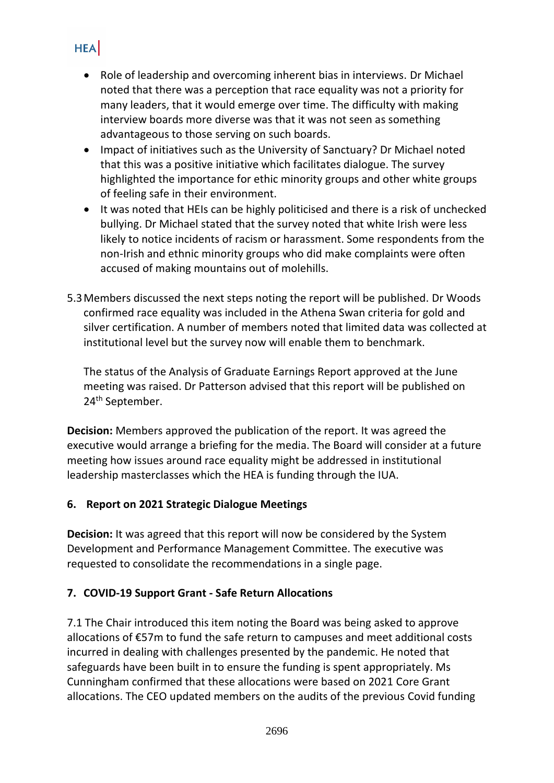- **HEA** 
	- Role of leadership and overcoming inherent bias in interviews. Dr Michael noted that there was a perception that race equality was not a priority for many leaders, that it would emerge over time. The difficulty with making interview boards more diverse was that it was not seen as something advantageous to those serving on such boards.
	- Impact of initiatives such as the University of Sanctuary? Dr Michael noted that this was a positive initiative which facilitates dialogue. The survey highlighted the importance for ethic minority groups and other white groups of feeling safe in their environment.
	- It was noted that HEIs can be highly politicised and there is a risk of unchecked bullying. Dr Michael stated that the survey noted that white Irish were less likely to notice incidents of racism or harassment. Some respondents from the non-Irish and ethnic minority groups who did make complaints were often accused of making mountains out of molehills.
- 5.3Members discussed the next steps noting the report will be published. Dr Woods confirmed race equality was included in the Athena Swan criteria for gold and silver certification. A number of members noted that limited data was collected at institutional level but the survey now will enable them to benchmark.

The status of the Analysis of Graduate Earnings Report approved at the June meeting was raised. Dr Patterson advised that this report will be published on 24<sup>th</sup> September.

**Decision:** Members approved the publication of the report. It was agreed the executive would arrange a briefing for the media. The Board will consider at a future meeting how issues around race equality might be addressed in institutional leadership masterclasses which the HEA is funding through the IUA.

## **6. Report on 2021 Strategic Dialogue Meetings**

**Decision:** It was agreed that this report will now be considered by the System Development and Performance Management Committee. The executive was requested to consolidate the recommendations in a single page.

# **7. COVID-19 Support Grant - Safe Return Allocations**

7.1 The Chair introduced this item noting the Board was being asked to approve allocations of €57m to fund the safe return to campuses and meet additional costs incurred in dealing with challenges presented by the pandemic. He noted that safeguards have been built in to ensure the funding is spent appropriately. Ms Cunningham confirmed that these allocations were based on 2021 Core Grant allocations. The CEO updated members on the audits of the previous Covid funding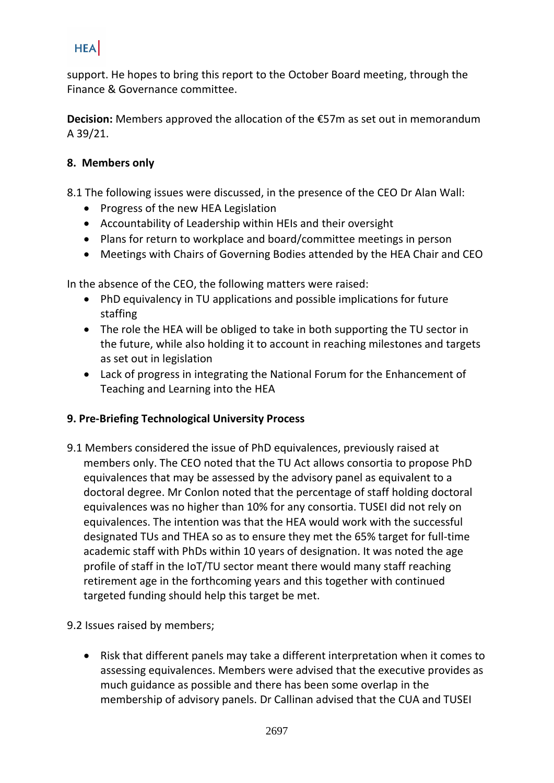support. He hopes to bring this report to the October Board meeting, through the Finance & Governance committee.

**Decision:** Members approved the allocation of the €57m as set out in memorandum A 39/21.

## **8. Members only**

- 8.1 The following issues were discussed, in the presence of the CEO Dr Alan Wall:
	- Progress of the new HEA Legislation
	- Accountability of Leadership within HEIs and their oversight
	- Plans for return to workplace and board/committee meetings in person
	- Meetings with Chairs of Governing Bodies attended by the HEA Chair and CEO

In the absence of the CEO, the following matters were raised:

- PhD equivalency in TU applications and possible implications for future staffing
- The role the HEA will be obliged to take in both supporting the TU sector in the future, while also holding it to account in reaching milestones and targets as set out in legislation
- Lack of progress in integrating the National Forum for the Enhancement of Teaching and Learning into the HEA

## **9. Pre-Briefing Technological University Process**

9.1 Members considered the issue of PhD equivalences, previously raised at members only. The CEO noted that the TU Act allows consortia to propose PhD equivalences that may be assessed by the advisory panel as equivalent to a doctoral degree. Mr Conlon noted that the percentage of staff holding doctoral equivalences was no higher than 10% for any consortia. TUSEI did not rely on equivalences. The intention was that the HEA would work with the successful designated TUs and THEA so as to ensure they met the 65% target for full-time academic staff with PhDs within 10 years of designation. It was noted the age profile of staff in the IoT/TU sector meant there would many staff reaching retirement age in the forthcoming years and this together with continued targeted funding should help this target be met.

#### 9.2 Issues raised by members;

• Risk that different panels may take a different interpretation when it comes to assessing equivalences. Members were advised that the executive provides as much guidance as possible and there has been some overlap in the membership of advisory panels. Dr Callinan advised that the CUA and TUSEI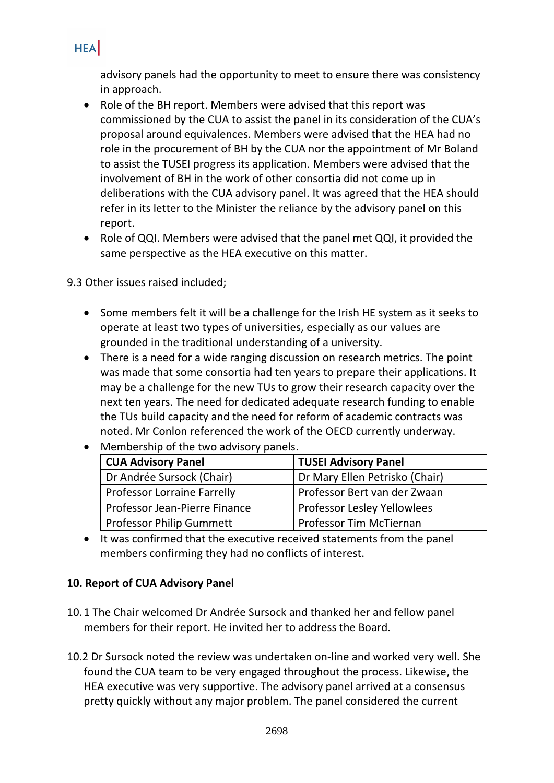advisory panels had the opportunity to meet to ensure there was consistency in approach.

- Role of the BH report. Members were advised that this report was commissioned by the CUA to assist the panel in its consideration of the CUA's proposal around equivalences. Members were advised that the HEA had no role in the procurement of BH by the CUA nor the appointment of Mr Boland to assist the TUSEI progress its application. Members were advised that the involvement of BH in the work of other consortia did not come up in deliberations with the CUA advisory panel. It was agreed that the HEA should refer in its letter to the Minister the reliance by the advisory panel on this report.
- Role of QQI. Members were advised that the panel met QQI, it provided the same perspective as the HEA executive on this matter.

9.3 Other issues raised included;

- Some members felt it will be a challenge for the Irish HE system as it seeks to operate at least two types of universities, especially as our values are grounded in the traditional understanding of a university.
- There is a need for a wide ranging discussion on research metrics. The point was made that some consortia had ten years to prepare their applications. It may be a challenge for the new TUs to grow their research capacity over the next ten years. The need for dedicated adequate research funding to enable the TUs build capacity and the need for reform of academic contracts was noted. Mr Conlon referenced the work of the OECD currently underway.

| <b>CUA Advisory Panel</b>          | <b>TUSEI Advisory Panel</b>        |  |  |
|------------------------------------|------------------------------------|--|--|
| Dr Andrée Sursock (Chair)          | Dr Mary Ellen Petrisko (Chair)     |  |  |
| <b>Professor Lorraine Farrelly</b> | Professor Bert van der Zwaan       |  |  |
| Professor Jean-Pierre Finance      | <b>Professor Lesley Yellowlees</b> |  |  |
| <b>Professor Philip Gummett</b>    | <b>Professor Tim McTiernan</b>     |  |  |

• Membership of the two advisory panels.

• It was confirmed that the executive received statements from the panel members confirming they had no conflicts of interest.

#### **10. Report of CUA Advisory Panel**

- 10.1 The Chair welcomed Dr Andrée Sursock and thanked her and fellow panel members for their report. He invited her to address the Board.
- 10.2 Dr Sursock noted the review was undertaken on-line and worked very well. She found the CUA team to be very engaged throughout the process. Likewise, the HEA executive was very supportive. The advisory panel arrived at a consensus pretty quickly without any major problem. The panel considered the current

# **HEA**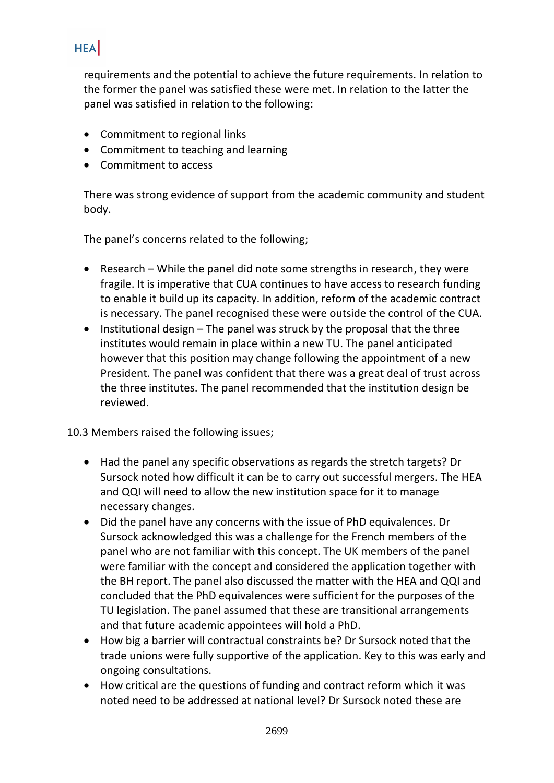requirements and the potential to achieve the future requirements. In relation to the former the panel was satisfied these were met. In relation to the latter the panel was satisfied in relation to the following:

- Commitment to regional links
- Commitment to teaching and learning
- Commitment to access

There was strong evidence of support from the academic community and student body.

The panel's concerns related to the following;

- Research While the panel did note some strengths in research, they were fragile. It is imperative that CUA continues to have access to research funding to enable it build up its capacity. In addition, reform of the academic contract is necessary. The panel recognised these were outside the control of the CUA.
- Institutional design The panel was struck by the proposal that the three institutes would remain in place within a new TU. The panel anticipated however that this position may change following the appointment of a new President. The panel was confident that there was a great deal of trust across the three institutes. The panel recommended that the institution design be reviewed.

10.3 Members raised the following issues;

- Had the panel any specific observations as regards the stretch targets? Dr Sursock noted how difficult it can be to carry out successful mergers. The HEA and QQI will need to allow the new institution space for it to manage necessary changes.
- Did the panel have any concerns with the issue of PhD equivalences. Dr Sursock acknowledged this was a challenge for the French members of the panel who are not familiar with this concept. The UK members of the panel were familiar with the concept and considered the application together with the BH report. The panel also discussed the matter with the HEA and QQI and concluded that the PhD equivalences were sufficient for the purposes of the TU legislation. The panel assumed that these are transitional arrangements and that future academic appointees will hold a PhD.
- How big a barrier will contractual constraints be? Dr Sursock noted that the trade unions were fully supportive of the application. Key to this was early and ongoing consultations.
- How critical are the questions of funding and contract reform which it was noted need to be addressed at national level? Dr Sursock noted these are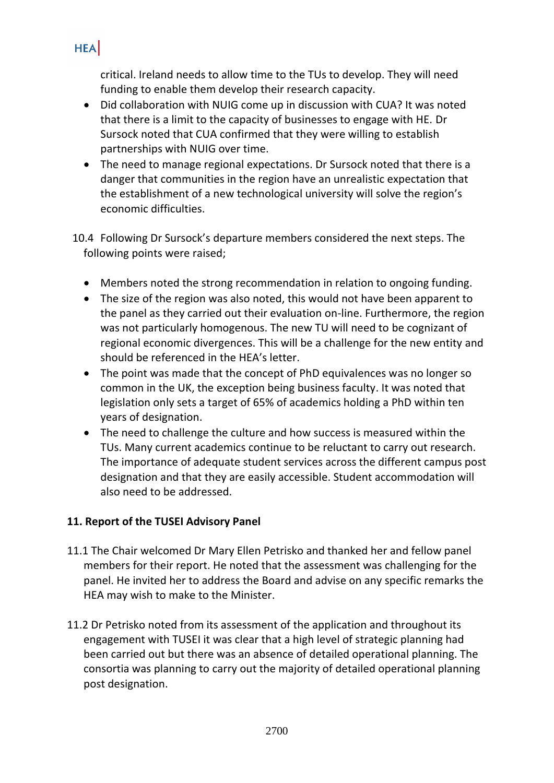critical. Ireland needs to allow time to the TUs to develop. They will need funding to enable them develop their research capacity.

- Did collaboration with NUIG come up in discussion with CUA? It was noted that there is a limit to the capacity of businesses to engage with HE. Dr Sursock noted that CUA confirmed that they were willing to establish partnerships with NUIG over time.
- The need to manage regional expectations. Dr Sursock noted that there is a danger that communities in the region have an unrealistic expectation that the establishment of a new technological university will solve the region's economic difficulties.

 10.4 Following Dr Sursock's departure members considered the next steps. The following points were raised;

- Members noted the strong recommendation in relation to ongoing funding.
- The size of the region was also noted, this would not have been apparent to the panel as they carried out their evaluation on-line. Furthermore, the region was not particularly homogenous. The new TU will need to be cognizant of regional economic divergences. This will be a challenge for the new entity and should be referenced in the HEA's letter.
- The point was made that the concept of PhD equivalences was no longer so common in the UK, the exception being business faculty. It was noted that legislation only sets a target of 65% of academics holding a PhD within ten years of designation.
- The need to challenge the culture and how success is measured within the TUs. Many current academics continue to be reluctant to carry out research. The importance of adequate student services across the different campus post designation and that they are easily accessible. Student accommodation will also need to be addressed.

## **11. Report of the TUSEI Advisory Panel**

- 11.1 The Chair welcomed Dr Mary Ellen Petrisko and thanked her and fellow panel members for their report. He noted that the assessment was challenging for the panel. He invited her to address the Board and advise on any specific remarks the HEA may wish to make to the Minister.
- 11.2 Dr Petrisko noted from its assessment of the application and throughout its engagement with TUSEI it was clear that a high level of strategic planning had been carried out but there was an absence of detailed operational planning. The consortia was planning to carry out the majority of detailed operational planning post designation.

## **HEA**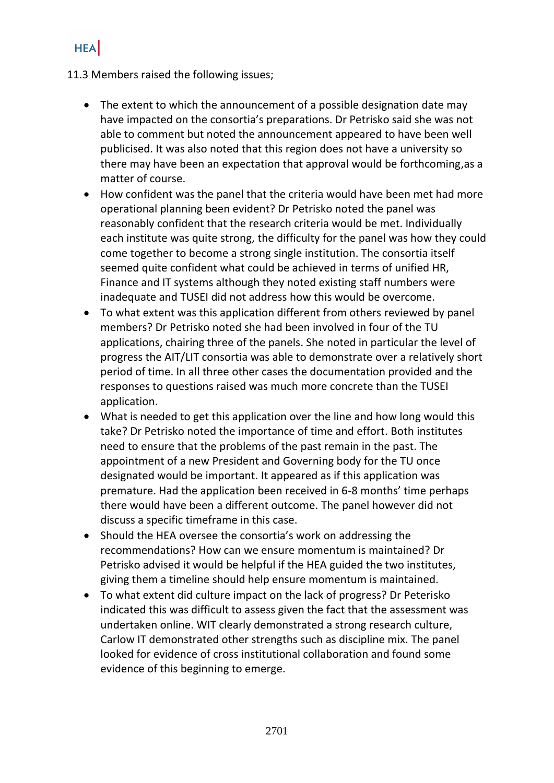#### 11.3 Members raised the following issues;

- The extent to which the announcement of a possible designation date may have impacted on the consortia's preparations. Dr Petrisko said she was not able to comment but noted the announcement appeared to have been well publicised. It was also noted that this region does not have a university so there may have been an expectation that approval would be forthcoming,as a matter of course.
- How confident was the panel that the criteria would have been met had more operational planning been evident? Dr Petrisko noted the panel was reasonably confident that the research criteria would be met. Individually each institute was quite strong, the difficulty for the panel was how they could come together to become a strong single institution. The consortia itself seemed quite confident what could be achieved in terms of unified HR, Finance and IT systems although they noted existing staff numbers were inadequate and TUSEI did not address how this would be overcome.
- To what extent was this application different from others reviewed by panel members? Dr Petrisko noted she had been involved in four of the TU applications, chairing three of the panels. She noted in particular the level of progress the AIT/LIT consortia was able to demonstrate over a relatively short period of time. In all three other cases the documentation provided and the responses to questions raised was much more concrete than the TUSEI application.
- What is needed to get this application over the line and how long would this take? Dr Petrisko noted the importance of time and effort. Both institutes need to ensure that the problems of the past remain in the past. The appointment of a new President and Governing body for the TU once designated would be important. It appeared as if this application was premature. Had the application been received in 6-8 months' time perhaps there would have been a different outcome. The panel however did not discuss a specific timeframe in this case.
- Should the HEA oversee the consortia's work on addressing the recommendations? How can we ensure momentum is maintained? Dr Petrisko advised it would be helpful if the HEA guided the two institutes, giving them a timeline should help ensure momentum is maintained.
- To what extent did culture impact on the lack of progress? Dr Peterisko indicated this was difficult to assess given the fact that the assessment was undertaken online. WIT clearly demonstrated a strong research culture, Carlow IT demonstrated other strengths such as discipline mix. The panel looked for evidence of cross institutional collaboration and found some evidence of this beginning to emerge.